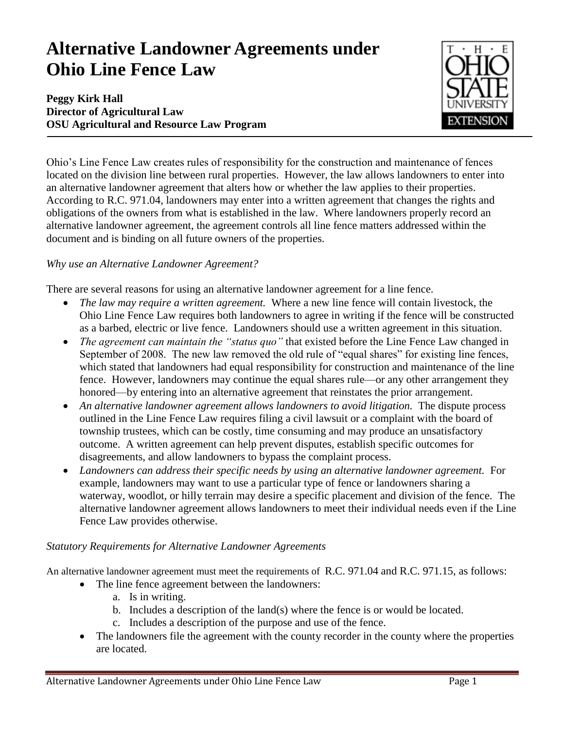# **Alternative Landowner Agreements under Ohio Line Fence Law**

## **Peggy Kirk Hall Director of Agricultural Law OSU Agricultural and Resource Law Program**



Ohio's Line Fence Law creates rules of responsibility for the construction and maintenance of fences located on the division line between rural properties. However, the law allows landowners to enter into an alternative landowner agreement that alters how or whether the law applies to their properties. According to R.C. 971.04, landowners may enter into a written agreement that changes the rights and obligations of the owners from what is established in the law. Where landowners properly record an alternative landowner agreement, the agreement controls all line fence matters addressed within the document and is binding on all future owners of the properties.

### *Why use an Alternative Landowner Agreement?*

There are several reasons for using an alternative landowner agreement for a line fence.

- *The law may require a written agreement.* Where a new line fence will contain livestock, the Ohio Line Fence Law requires both landowners to agree in writing if the fence will be constructed as a barbed, electric or live fence. Landowners should use a written agreement in this situation.
- *The agreement can maintain the "status quo"* that existed before the Line Fence Law changed in September of 2008. The new law removed the old rule of "equal shares" for existing line fences, which stated that landowners had equal responsibility for construction and maintenance of the line fence. However, landowners may continue the equal shares rule—or any other arrangement they honored—by entering into an alternative agreement that reinstates the prior arrangement.
- *An alternative landowner agreement allows landowners to avoid litigation.* The dispute process outlined in the Line Fence Law requires filing a civil lawsuit or a complaint with the board of township trustees, which can be costly, time consuming and may produce an unsatisfactory outcome. A written agreement can help prevent disputes, establish specific outcomes for disagreements, and allow landowners to bypass the complaint process.
- *Landowners can address their specific needs by using an alternative landowner agreement.* For example, landowners may want to use a particular type of fence or landowners sharing a waterway, woodlot, or hilly terrain may desire a specific placement and division of the fence. The alternative landowner agreement allows landowners to meet their individual needs even if the Line Fence Law provides otherwise.

#### *Statutory Requirements for Alternative Landowner Agreements*

An alternative landowner agreement must meet the requirements of R.C. 971.04 and R.C. 971.15, as follows:

- The line fence agreement between the landowners:
	- a. Is in writing.
	- b. Includes a description of the land(s) where the fence is or would be located.
	- c. Includes a description of the purpose and use of the fence.
- The landowners file the agreement with the county recorder in the county where the properties are located.